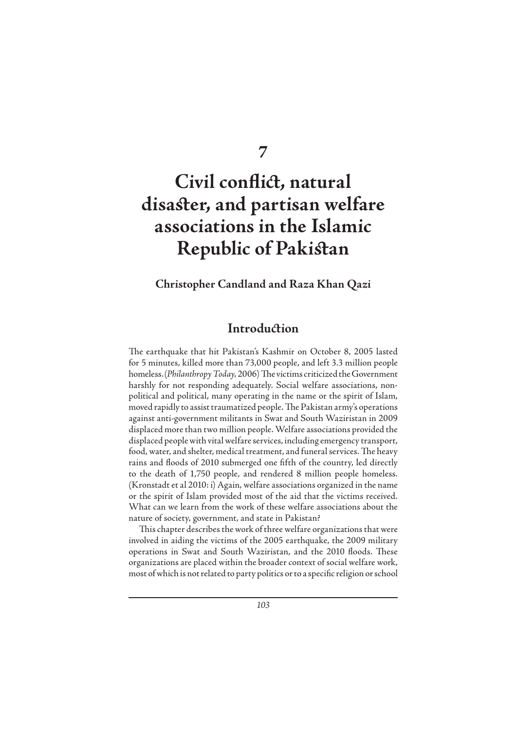**7**

# **Civil conflict, natural** disaster, and partisan welfare **associations in the Islamic Republic of Pakistan**

#### **Christopher Candland and Raza Khan Qazi**

### **Introduction**

The earthquake that hit Pakistan's Kashmir on October 8, 2005 lasted for 5 minutes, killed more than 73,000 people, and left 3.3 million people homeless. (*Philanthropy Today, 2006*) The victims criticized the Government harshly for not responding adequately. Social welfare associations, nonpolitical and political, many operating in the name or the spirit of Islam, moved rapidly to assist traumatized people. The Pakistan army's operations against anti-government militants in Swat and South Waziristan in 2009 displaced more than two million people. Welfare associations provided the displaced people with vital welfare services, including emergency transport, food, water, and shelter, medical treatment, and funeral services. The heavy rains and floods of 2010 submerged one fifth of the country, led directly to the death of 1,750 people, and rendered 8 million people homeless. (Kronstadt et al 2010: i) Again, welfare associations organized in the name or the spirit of Islam provided most of the aid that the victims received. What can we learn from the work of these welfare associations about the nature of society, government, and state in Pakistan?

This chapter describes the work of three welfare organizations that were involved in aiding the victims of the 2005 earthquake, the 2009 military operations in Swat and South Waziristan, and the 2010 floods. These organizations are placed within the broader context of social welfare work, most of which is not related to party politics or to a specific religion or school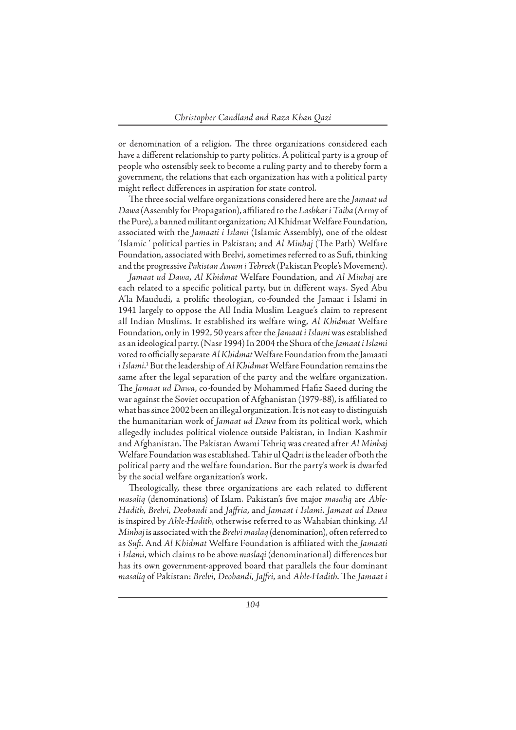or denomination of a religion. The three organizations considered each have a different relationship to party politics. A political party is a group of people who ostensibly seek to become a ruling party and to thereby form a government, the relations that each organization has with a political party might reflect differences in aspiration for state control.

The three social welfare organizations considered here are the *Jamaat ud Dawa* (Assembly for Propagation), affi liated to the *Lashkar i Taiba* (Army of the Pure), a banned militant organization; Al Khidmat Welfare Foundation, associated with the *Jamaati i Islami* (Islamic Assembly), one of the oldest 'Islamic ' political parties in Pakistan; and *Al Minhaj* (The Path) Welfare Foundation, associated with Brelvi, sometimes referred to as Sufi , thinking and the progressive *Pakistan Awam i Tehreek* (Pakistan People's Movement).

*Jamaat ud Dawa*, *Al Khidmat* Welfare Foundation, and *Al Minhaj* are each related to a specific political party, but in different ways. Syed Abu A'la Maududi, a prolific theologian, co-founded the Jamaat i Islami in 1941 largely to oppose the All India Muslim League's claim to represent all Indian Muslims. It established its welfare wing, *Al Khidmat* Welfare Foundation, only in 1992, 50 years after the *Jamaat i Islami* was established as an ideological party. (Nasr 1994) In 2004 the Shura of the *Jamaat i Islami* voted to officially separate *Al Khidmat* Welfare Foundation from the Jamaati *i Islami*. 1 But the leadership of *Al Khidmat* Welfare Foundation remains the same after the legal separation of the party and the welfare organization. The *Jamaat ud Dawa*, co-founded by Mohammed Hafiz Saeed during the war against the Soviet occupation of Afghanistan (1979-88), is affiliated to what has since 2002 been an illegal organization. It is not easy to distinguish the humanitarian work of *Jamaat ud Dawa* from its political work, which allegedly includes political violence outside Pakistan, in Indian Kashmir and Afghanistan. The Pakistan Awami Tehriq was created after *Al Minhaj* Welfare Foundation was established. Tahir ul Qadri is the leader of both the political party and the welfare foundation. But the party's work is dwarfed by the social welfare organization's work.

Theologically, these three organizations are each related to different *masaliq* (denominations) of Islam. Pakistan's five major *masaliq* are *Ahle-Hadith*, *Brelvi*, *Deobandi* and *Jaff ria*, and *Jamaat i Islami*. *Jamaat ud Dawa* is inspired by *Ahle-Hadith*, otherwise referred to as Wahabian thinking. *Al Minhaj* is associated with the *Brelvimaslaq* (denomination), often referred to as *Sufi* . And *Al Khidmat* Welfare Foundation is affi liated with the *Jamaati i Islami*, which claims to be above *maslaqi* (denominational) differences but has its own government-approved board that parallels the four dominant *masaliq* of Pakistan: *Brelvi*, *Deobandi*, *Jaff ri*, and *Ahle-Hadith*. Th e *Jamaat i*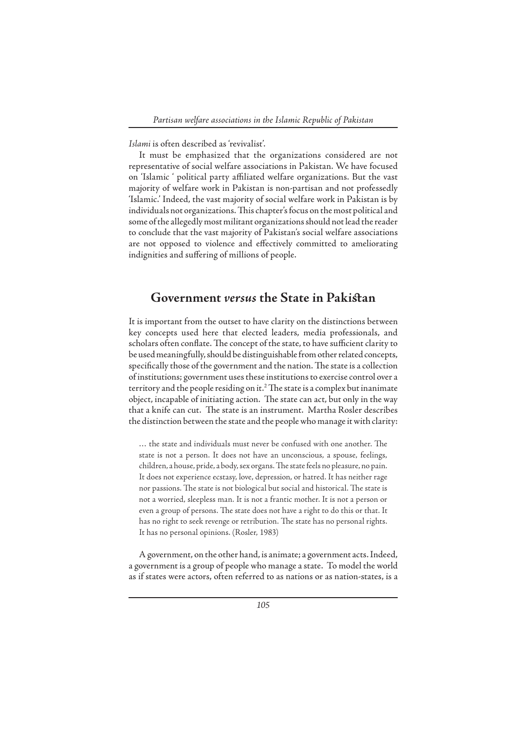*Islami* is often described as 'revivalist'.

It must be emphasized that the organizations considered are not representative of social welfare associations in Pakistan. We have focused on 'Islamic ' political party affiliated welfare organizations. But the vast majority of welfare work in Pakistan is non-partisan and not professedly 'Islamic.' Indeed, the vast majority of social welfare work in Pakistan is by individuals not organizations. This chapter's focus on the most political and some of the allegedly most militant organizations should not lead the reader to conclude that the vast majority of Pakistan's social welfare associations are not opposed to violence and effectively committed to ameliorating indignities and suffering of millions of people.

#### **Government** *versus* the State in Pakistan

It is important from the outset to have clarity on the distinctions between key concepts used here that elected leaders, media professionals, and scholars often conflate. The concept of the state, to have sufficient clarity to be used meaningfully, should be distinguishable from other related concepts, specifically those of the government and the nation. The state is a collection of institutions; government uses these institutions to exercise control over a territory and the people residing on it.<sup>2</sup> The state is a complex but inanimate object, incapable of initiating action. The state can act, but only in the way that a knife can cut. The state is an instrument. Martha Rosler describes the distinction between the state and the people who manage it with clarity:

... the state and individuals must never be confused with one another. The state is not a person. It does not have an unconscious, a spouse, feelings, children, a house, pride, a body, sex organs. The state feels no pleasure, no pain. It does not experience ecstasy, love, depression, or hatred. It has neither rage nor passions. The state is not biological but social and historical. The state is not a worried, sleepless man. It is not a frantic mother. It is not a person or even a group of persons. The state does not have a right to do this or that. It has no right to seek revenge or retribution. The state has no personal rights. It has no personal opinions. (Rosler, 1983)

A government, on the other hand, is animate; a government acts. Indeed, a government is a group of people who manage a state. To model the world as if states were actors, often referred to as nations or as nation-states, is a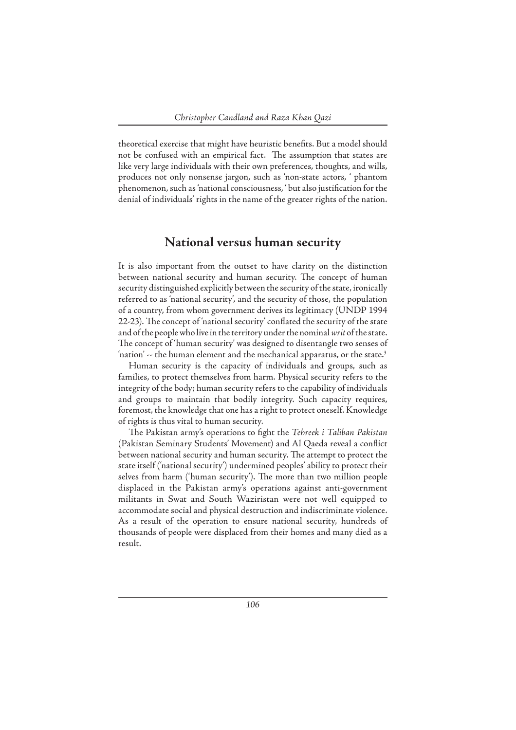theoretical exercise that might have heuristic benefits. But a model should not be confused with an empirical fact. The assumption that states are like very large individuals with their own preferences, thoughts, and wills, produces not only nonsense jargon, such as 'non-state actors, ' phantom phenomenon, such as 'national consciousness, ' but also justification for the denial of individuals' rights in the name of the greater rights of the nation.

#### **National versus human security**

It is also important from the outset to have clarity on the distinction between national security and human security. The concept of human security distinguished explicitly between the security of the state, ironically referred to as 'national security', and the security of those, the population of a country, from whom government derives its legitimacy (UNDP 1994 22-23). The concept of 'national security' conflated the security of the state and of the people who live in the territory under the nominal *writ* of the state. The concept of 'human security' was designed to disentangle two senses of 'nation'  $\sim$  the human element and the mechanical apparatus, or the state. $3$ 

Human security is the capacity of individuals and groups, such as families, to protect themselves from harm. Physical security refers to the integrity of the body; human security refers to the capability of individuals and groups to maintain that bodily integrity. Such capacity requires, foremost, the knowledge that one has a right to protect oneself. Knowledge of rights is thus vital to human security.

The Pakistan army's operations to fight the *Tehreek i Taliban Pakistan* (Pakistan Seminary Students' Movement) and Al Qaeda reveal a conflict between national security and human security. The attempt to protect the state itself ('national security') undermined peoples' ability to protect their selves from harm ('human security'). The more than two million people displaced in the Pakistan army's operations against anti-government militants in Swat and South Waziristan were not well equipped to accommodate social and physical destruction and indiscriminate violence. As a result of the operation to ensure national security, hundreds of thousands of people were displaced from their homes and many died as a result.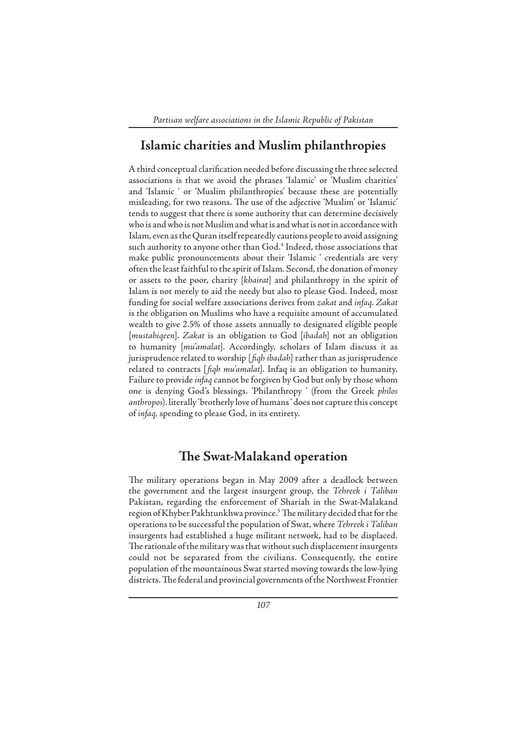# **Islamic charities and Muslim philanthropies**

A third conceptual clarification needed before discussing the three selected associations is that we avoid the phrases 'Islamic' or 'Muslim charities' and 'Islamic ' or 'Muslim philanthropies' because these are potentially misleading, for two reasons. The use of the adjective 'Muslim' or 'Islamic' tends to suggest that there is some authority that can determine decisively who is and who is not Muslim and what is and what is not in accordance with Islam, even as the Quran itself repeatedly cautions people to avoid assigning such authority to anyone other than God.4 Indeed, those associations that make public pronouncements about their 'Islamic ' credentials are very often the least faithful to the spirit of Islam. Second, the donation of money or assets to the poor, charity [*khairat*] and philanthropy in the spirit of Islam is not merely to aid the needy but also to please God. Indeed, most funding for social welfare associations derives from *zakat* and *infaq*. *Zakat* is the obligation on Muslims who have a requisite amount of accumulated wealth to give 2.5% of those assets annually to designated eligible people [*mustahiqeen*]. *Zakat* is an obligation to God [*ibadah*] not an obligation to humanity [*mu'amalat*]. Accordingly, scholars of Islam discuss it as jurisprudence related to worship [*fiqh ibadah*] rather than as jurisprudence related to contracts [*fiqh mu'amalat*]. Infaq is an obligation to humanity. Failure to provide *infaq* cannot be forgiven by God but only by those whom one is denying God's blessings. 'Philanthropy ' (from the Greek *philos anthropos*). literally 'brotherly love of humans ' does not capture this concept of *infaq,* spending to please God, in its entirety.

#### **The Swat-Malakand operation**

The military operations began in May 2009 after a deadlock between the government and the largest insurgent group, the *Tehreek i Taliban*  Pakistan, regarding the enforcement of Shariah in the Swat-Malakand region of Khyber Pakhtunkhwa province.<sup>5</sup> The military decided that for the operations to be successful the population of Swat, where *Tehreek i Taliban* insurgents had established a huge militant network, had to be displaced. The rationale of the military was that without such displacement insurgents could not be separated from the civilians. Consequently, the entire population of the mountainous Swat started moving towards the low-lying districts. The federal and provincial governments of the Northwest Frontier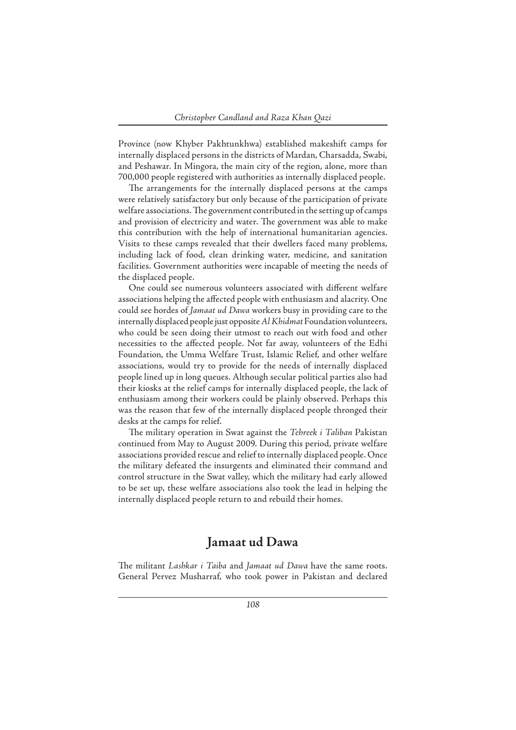Province (now Khyber Pakhtunkhwa) established makeshift camps for internally displaced persons in the districts of Mardan, Charsadda, Swabi, and Peshawar. In Mingora, the main city of the region, alone, more than 700,000 people registered with authorities as internally displaced people.

The arrangements for the internally displaced persons at the camps were relatively satisfactory but only because of the participation of private welfare associations. The government contributed in the setting up of camps and provision of electricity and water. The government was able to make this contribution with the help of international humanitarian agencies. Visits to these camps revealed that their dwellers faced many problems, including lack of food, clean drinking water, medicine, and sanitation facilities. Government authorities were incapable of meeting the needs of the displaced people.

One could see numerous volunteers associated with different welfare associations helping the affected people with enthusiasm and alacrity. One could see hordes of *Jamaat ud Dawa* workers busy in providing care to the internally displaced people just opposite *Al Khidmat* Foundation volunteers, who could be seen doing their utmost to reach out with food and other necessities to the affected people. Not far away, volunteers of the Edhi Foundation, the Umma Welfare Trust, Islamic Relief, and other welfare associations, would try to provide for the needs of internally displaced people lined up in long queues. Although secular political parties also had their kiosks at the relief camps for internally displaced people, the lack of enthusiasm among their workers could be plainly observed. Perhaps this was the reason that few of the internally displaced people thronged their desks at the camps for relief.

The military operation in Swat against the *Tehreek i Taliban* Pakistan continued from May to August 2009. During this period, private welfare associations provided rescue and relief to internally displaced people. Once the military defeated the insurgents and eliminated their command and control structure in the Swat valley, which the military had early allowed to be set up, these welfare associations also took the lead in helping the internally displaced people return to and rebuild their homes.

### **Jamaat ud Dawa**

The militant *Lashkar i Taiba* and *Jamaat ud Dawa* have the same roots. General Pervez Musharraf, who took power in Pakistan and declared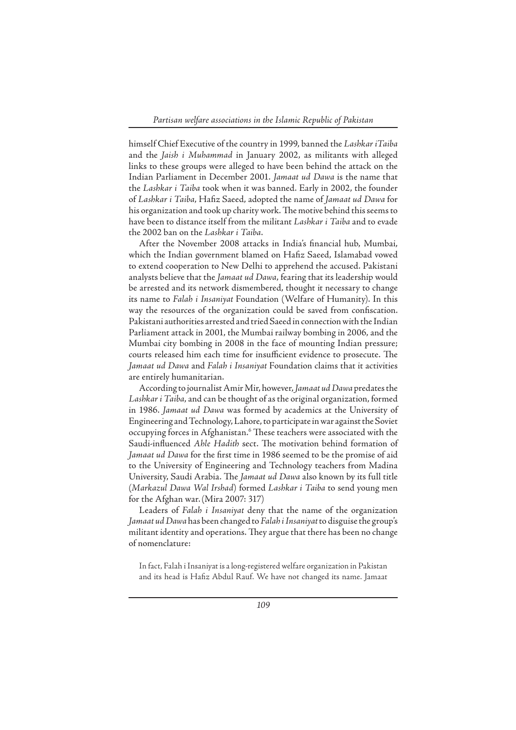himself Chief Executive of the country in 1999, banned the *Lashkar iTaiba* and the *Jaish i Muhammad* in January 2002, as militants with alleged links to these groups were alleged to have been behind the attack on the Indian Parliament in December 2001. *Jamaat ud Dawa* is the name that the *Lashkar i Taiba* took when it was banned. Early in 2002, the founder of Lashkar i Taiba, Hafiz Saeed, adopted the name of *Jamaat ud Dawa* for his organization and took up charity work. The motive behind this seems to have been to distance itself from the militant *Lashkar i Taiba* and to evade the 2002 ban on the *Lashkar i Taiba*.

After the November 2008 attacks in India's financial hub, Mumbai, which the Indian government blamed on Hafiz Saeed, Islamabad vowed to extend cooperation to New Delhi to apprehend the accused. Pakistani analysts believe that the *Jamaat ud Dawa*, fearing that its leadership would be arrested and its network dismembered, thought it necessary to change its name to *Falah i Insaniyat* Foundation (Welfare of Humanity). In this way the resources of the organization could be saved from confiscation. Pakistani authorities arrested and tried Saeed in connection with the Indian Parliament attack in 2001, the Mumbai railway bombing in 2006, and the Mumbai city bombing in 2008 in the face of mounting Indian pressure; courts released him each time for insufficient evidence to prosecute. The *Jamaat ud Dawa* and *Falah i Insaniyat* Foundation claims that it activities are entirely humanitarian.

According to journalist Amir Mir, however, *Jamaat ud Dawa* predates the *Lashkar i Taiba*, and can be thought of as the original organization, formed in 1986. *Jamaat ud Dawa* was formed by academics at the University of Engineering and Technology, Lahore, to participate in war against the Soviet occupying forces in Afghanistan.<sup>6</sup> These teachers were associated with the Saudi-influenced *Ahle Hadith* sect. The motivation behind formation of Jamaat ud Dawa for the first time in 1986 seemed to be the promise of aid to the University of Engineering and Technology teachers from Madina University, Saudi Arabia. The *Jamaat ud Dawa* also known by its full title (*Markazul Dawa Wal Irshad*) formed *Lashkar i Taiba* to send young men for the Afghan war.(Mira 2007: 317)

Leaders of *Falah i Insaniyat* deny that the name of the organization *Jamaat ud Dawa* has been changed to *Falah i Insaniyat* to disguise the group's militant identity and operations. They argue that there has been no change of nomenclature:

In fact, Falah i Insaniyat is a long-registered welfare organization in Pakistan and its head is Hafiz Abdul Rauf. We have not changed its name. Jamaat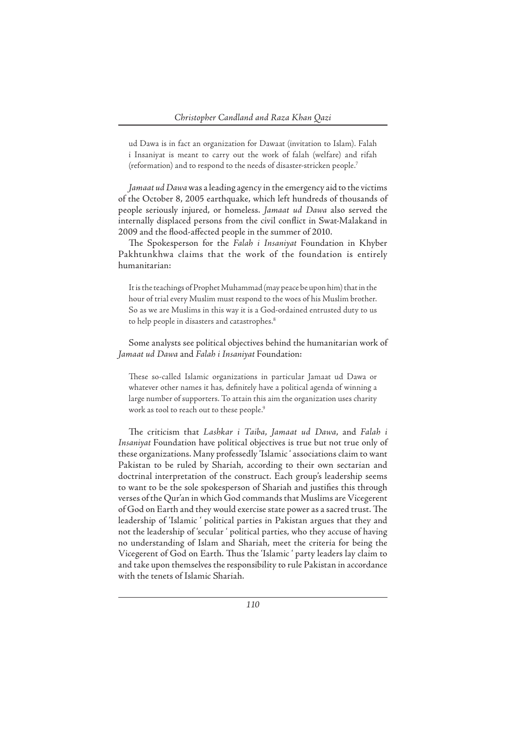ud Dawa is in fact an organization for Dawaat (invitation to Islam). Falah i Insaniyat is meant to carry out the work of falah (welfare) and rifah (reformation) and to respond to the needs of disaster-stricken people.7

*Jamaat ud Dawa* was a leading agency in the emergency aid to the victims of the October 8, 2005 earthquake, which left hundreds of thousands of people seriously injured, or homeless. *Jamaat ud Dawa* also served the internally displaced persons from the civil conflict in Swat-Malakand in 2009 and the flood-affected people in the summer of 2010.

The Spokesperson for the *Falah i Insaniyat* Foundation in Khyber Pakhtunkhwa claims that the work of the foundation is entirely humanitarian:

It is the teachings of Prophet Muhammad (may peace be upon him) that in the hour of trial every Muslim must respond to the woes of his Muslim brother. So as we are Muslims in this way it is a God-ordained entrusted duty to us to help people in disasters and catastrophes.<sup>8</sup>

Some analysts see political objectives behind the humanitarian work of *Jamaat ud Dawa* and *Falah i Insaniyat* Foundation:

These so-called Islamic organizations in particular Jamaat ud Dawa or whatever other names it has, definitely have a political agenda of winning a large number of supporters. To attain this aim the organization uses charity work as tool to reach out to these people.<sup>9</sup>

The criticism that Lashkar *i Taiba*, Jamaat ud Dawa, and Falah i *Insaniyat* Foundation have political objectives is true but not true only of these organizations. Many professedly 'Islamic ' associations claim to want Pakistan to be ruled by Shariah, according to their own sectarian and doctrinal interpretation of the construct. Each group's leadership seems to want to be the sole spokesperson of Shariah and justifies this through verses of the Qur'an in which God commands that Muslims are Vicegerent of God on Earth and they would exercise state power as a sacred trust. The leadership of 'Islamic ' political parties in Pakistan argues that they and not the leadership of 'secular ' political parties, who they accuse of having no understanding of Islam and Shariah, meet the criteria for being the Vicegerent of God on Earth. Thus the 'Islamic ' party leaders lay claim to and take upon themselves the responsibility to rule Pakistan in accordance with the tenets of Islamic Shariah.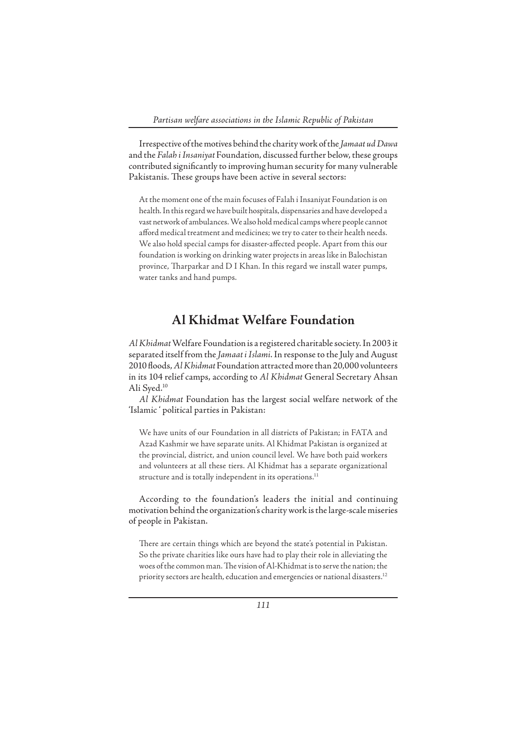Irrespective of the motives behind the charity work of the *Jamaat ud Dawa* and the *Falah i Insaniyat* Foundation, discussed further below, these groups contributed significantly to improving human security for many vulnerable Pakistanis. These groups have been active in several sectors:

At the moment one of the main focuses of Falah i Insaniyat Foundation is on health. In this regard we have built hospitals, dispensaries and have developed a vast network of ambulances. We also hold medical camps where people cannot afford medical treatment and medicines; we try to cater to their health needs. We also hold special camps for disaster-affected people. Apart from this our foundation is working on drinking water projects in areas like in Balochistan province, Tharparkar and D I Khan. In this regard we install water pumps, water tanks and hand pumps.

# **Al Khidmat Welfare Foundation**

*Al Khidmat* Welfare Foundation is a registered charitable society. In 2003 it separated itself from the *Jamaat i Islami*. In response to the July and August 2010 floods, Al Khidmat Foundation attracted more than 20,000 volunteers in its 104 relief camps, according to *Al Khidmat* General Secretary Ahsan Ali Syed.10

*Al Khidmat* Foundation has the largest social welfare network of the 'Islamic ' political parties in Pakistan:

We have units of our Foundation in all districts of Pakistan; in FATA and Azad Kashmir we have separate units. Al Khidmat Pakistan is organized at the provincial, district, and union council level. We have both paid workers and volunteers at all these tiers. Al Khidmat has a separate organizational structure and is totally independent in its operations.<sup>11</sup>

According to the foundation's leaders the initial and continuing motivation behind the organization's charity work is the large-scale miseries of people in Pakistan.

There are certain things which are beyond the state's potential in Pakistan. So the private charities like ours have had to play their role in alleviating the woes of the common man. The vision of Al-Khidmat is to serve the nation; the priority sectors are health, education and emergencies or national disasters.<sup>12</sup>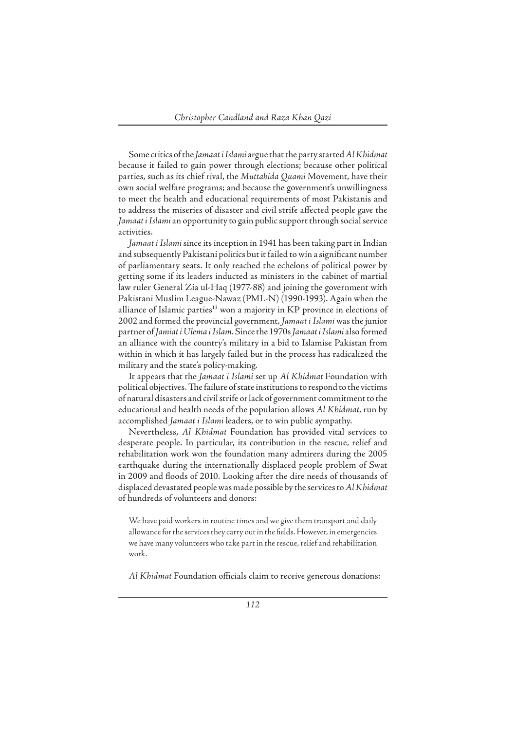Some critics of the *Jamaat i Islami* argue that the party started *Al Khidmat* because it failed to gain power through elections; because other political parties, such as its chief rival, the *Muttahida Quami* Movement, have their own social welfare programs; and because the government's unwillingness to meet the health and educational requirements of most Pakistanis and to address the miseries of disaster and civil strife affected people gave the *Jamaat i Islami* an opportunity to gain public support through social service activities.

*Jamaat i Islami* since its inception in 1941 has been taking part in Indian and subsequently Pakistani politics but it failed to win a significant number of parliamentary seats. It only reached the echelons of political power by getting some if its leaders inducted as ministers in the cabinet of martial law ruler General Zia ul-Haq (1977-88) and joining the government with Pakistani Muslim League-Nawaz (PML-N) (1990-1993). Again when the alliance of Islamic parties $13$  won a majority in KP province in elections of 2002 and formed the provincial government, *Jamaat i Islami* was the junior partner of *Jamiat i Ulema i Islam*. Since the 1970s *Jamaat i Islami* also formed an alliance with the country's military in a bid to Islamise Pakistan from within in which it has largely failed but in the process has radicalized the military and the state's policy-making.

It appears that the *Jamaat i Islami* set up *Al Khidmat* Foundation with political objectives. The failure of state institutions to respond to the victims of natural disasters and civil strife or lack of government commitment to the educational and health needs of the population allows *Al Khidmat*, run by accomplished *Jamaat i Islami* leaders, or to win public sympathy.

Nevertheless, *Al Khidmat* Foundation has provided vital services to desperate people. In particular, its contribution in the rescue, relief and rehabilitation work won the foundation many admirers during the 2005 earthquake during the internationally displaced people problem of Swat in 2009 and floods of 2010. Looking after the dire needs of thousands of displaced devastated people was made possible by the services to *Al Khidmat* of hundreds of volunteers and donors:

We have paid workers in routine times and we give them transport and daily allowance for the services they carry out in the fields. However, in emergencies we have many volunteers who take part in the rescue, relief and rehabilitation work.

Al Khidmat Foundation officials claim to receive generous donations: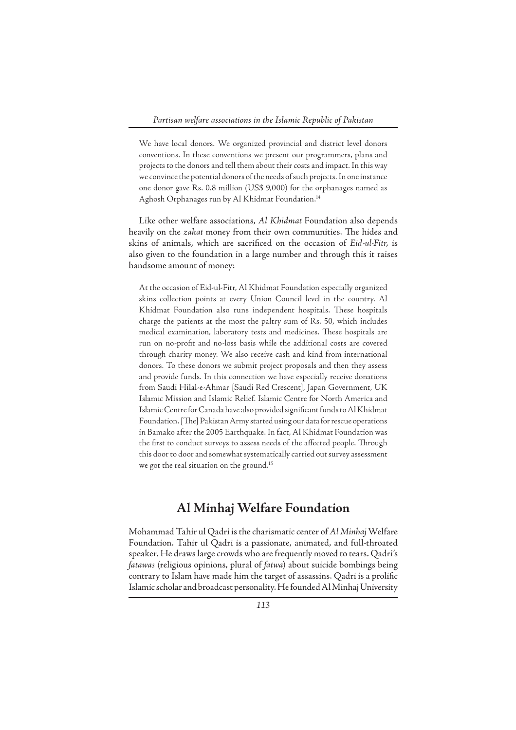We have local donors. We organized provincial and district level donors conventions. In these conventions we present our programmers, plans and projects to the donors and tell them about their costs and impact. In this way we convince the potential donors of the needs of such projects. In one instance one donor gave Rs. 0.8 million (US\$ 9,000) for the orphanages named as Aghosh Orphanages run by Al Khidmat Foundation.<sup>14</sup>

Like other welfare associations, *Al Khidmat* Foundation also depends heavily on the zakat money from their own communities. The hides and skins of animals, which are sacrificed on the occasion of *Eid-ul-Fitr*, is also given to the foundation in a large number and through this it raises handsome amount of money:

At the occasion of Eid-ul-Fitr, Al Khidmat Foundation especially organized skins collection points at every Union Council level in the country. Al Khidmat Foundation also runs independent hospitals. These hospitals charge the patients at the most the paltry sum of Rs. 50, which includes medical examination, laboratory tests and medicines. These hospitals are run on no-profit and no-loss basis while the additional costs are covered through charity money. We also receive cash and kind from international donors. To these donors we submit project proposals and then they assess and provide funds. In this connection we have especially receive donations from Saudi Hilal-e-Ahmar [Saudi Red Crescent], Japan Government, UK Islamic Mission and Islamic Relief. Islamic Centre for North America and Islamic Centre for Canada have also provided significant funds to Al Khidmat Foundation. [The] Pakistan Army started using our data for rescue operations in Bamako after the 2005 Earthquake. In fact, Al Khidmat Foundation was the first to conduct surveys to assess needs of the affected people. Through this door to door and somewhat systematically carried out survey assessment we got the real situation on the ground.<sup>15</sup>

#### **Al Minhaj Welfare Foundation**

Mohammad Tahir ul Qadri is the charismatic center of *Al Minhaj* Welfare Foundation. Tahir ul Qadri is a passionate, animated, and full-throated speaker. He draws large crowds who are frequently moved to tears. Qadri's *fatawas* (religious opinions, plural of *fatwa*) about suicide bombings being contrary to Islam have made him the target of assassins. Qadri is a prolific Islamic scholar and broadcast personality. He founded Al Minhaj University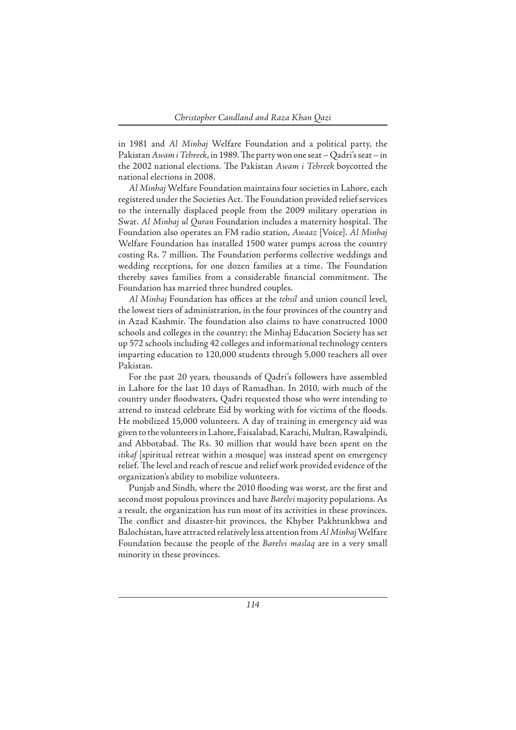in 1981 and *Al Minhaj* Welfare Foundation and a political party, the Pakistan Awam i Tehreek, in 1989. The party won one seat - Qadri's seat - in the 2002 national elections. The Pakistan Awam i Tehreek boycotted the national elections in 2008.

*Al Minhaj* Welfare Foundation maintains four societies in Lahore, each registered under the Societies Act. The Foundation provided relief services to the internally displaced people from the 2009 military operation in Swat. *Al Minhaj ul Quran* Foundation includes a maternity hospital. The Foundation also operates an FM radio station, *Awaaz* [Voice]. *Al Minhaj* Welfare Foundation has installed 1500 water pumps across the country costing Rs. 7 million. The Foundation performs collective weddings and wedding receptions, for one dozen families at a time. The Foundation thereby saves families from a considerable financial commitment. The Foundation has married three hundred couples.

Al Minhaj Foundation has offices at the *tehsil* and union council level, the lowest tiers of administration, in the four provinces of the country and in Azad Kashmir. The foundation also claims to have constructed 1000 schools and colleges in the country; the Minhaj Education Society has set up 572 schools including 42 colleges and informational technology centers imparting education to 120,000 students through 5,000 teachers all over Pakistan.

For the past 20 years, thousands of Qadri's followers have assembled in Lahore for the last 10 days of Ramadhan. In 2010, with much of the country under floodwaters, Qadri requested those who were intending to attend to instead celebrate Eid by working with for victims of the floods. He mobilized 15,000 volunteers. A day of training in emergency aid was given to the volunteers in Lahore, Faisalabad, Karachi, Multan, Rawalpindi, and Abbotabad. The Rs. 30 million that would have been spent on the *itikaf* [spiritual retreat within a mosque] was instead spent on emergency relief. The level and reach of rescue and relief work provided evidence of the organization's ability to mobilize volunteers.

Punjab and Sindh, where the 2010 flooding was worst, are the first and second most populous provinces and have *Barelvi* majority populations. As a result, the organization has run most of its activities in these provinces. The conflict and disaster-hit provinces, the Khyber Pakhtunkhwa and Balochistan, have attracted relatively less attention from *Al Minhaj* Welfare Foundation because the people of the *Barelvi maslaq* are in a very small minority in these provinces.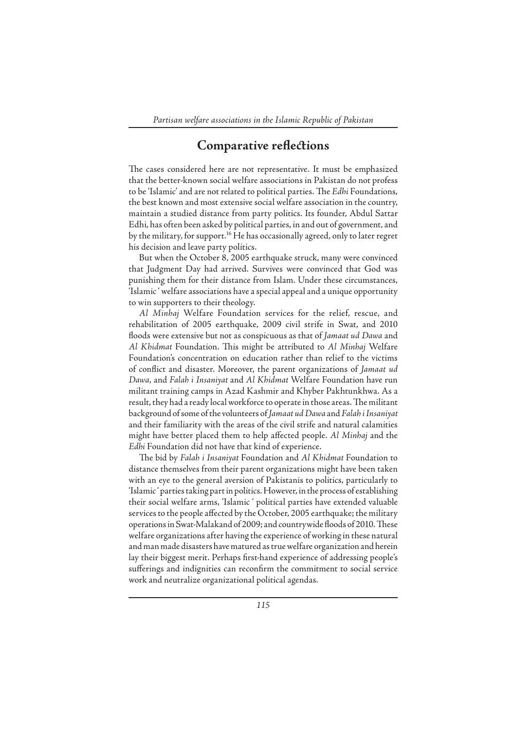### **Comparative reflections**

The cases considered here are not representative. It must be emphasized that the better-known social welfare associations in Pakistan do not profess to be 'Islamic' and are not related to political parties. The *Edhi* Foundations, the best known and most extensive social welfare association in the country, maintain a studied distance from party politics. Its founder, Abdul Sattar Edhi, has often been asked by political parties, in and out of government, and by the military, for support.<sup>16</sup> He has occasionally agreed, only to later regret his decision and leave party politics.

But when the October 8, 2005 earthquake struck, many were convinced that Judgment Day had arrived. Survives were convinced that God was punishing them for their distance from Islam. Under these circumstances, 'Islamic ' welfare associations have a special appeal and a unique opportunity to win supporters to their theology.

*Al Minhaj* Welfare Foundation services for the relief, rescue, and rehabilitation of 2005 earthquake, 2009 civil strife in Swat, and 2010 floods were extensive but not as conspicuous as that of *Jamaat ud Dawa* and *Al Khidmat* Foundation. Th is might be attributed to *Al Minhaj* Welfare Foundation's concentration on education rather than relief to the victims of conflict and disaster. Moreover, the parent organizations of *Jamaat ud Dawa*, and *Falah i Insaniyat* and *Al Khidmat* Welfare Foundation have run militant training camps in Azad Kashmir and Khyber Pakhtunkhwa. As a result, they had a ready local workforce to operate in those areas. The militant background of some of the volunteers of *Jamaat ud Dawa* and *Falah i Insaniyat* and their familiarity with the areas of the civil strife and natural calamities might have better placed them to help affected people. Al Minhaj and the *Edhi* Foundation did not have that kind of experience.

The bid by *Falah i Insaniyat* Foundation and *Al Khidmat* Foundation to distance themselves from their parent organizations might have been taken with an eye to the general aversion of Pakistanis to politics, particularly to 'Islamic ' parties taking part in politics. However, in the process of establishing their social welfare arms, 'Islamic ' political parties have extended valuable services to the people affected by the October, 2005 earthquake; the military operations in Swat-Malakand of 2009; and countrywide floods of 2010. These welfare organizations after having the experience of working in these natural and man made disasters have matured as true welfare organization and herein lay their biggest merit. Perhaps first-hand experience of addressing people's sufferings and indignities can reconfirm the commitment to social service work and neutralize organizational political agendas.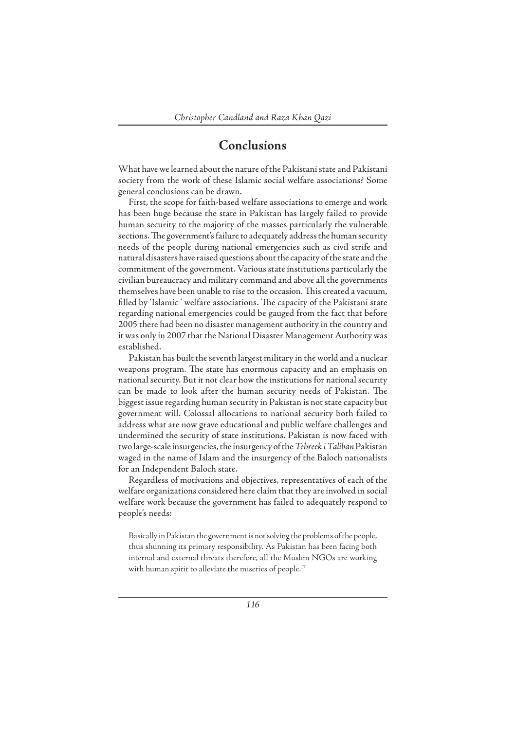## **Conclusions**

What have we learned about the nature of the Pakistani state and Pakistani society from the work of these Islamic social welfare associations? Some general conclusions can be drawn.

First, the scope for faith-based welfare associations to emerge and work has been huge because the state in Pakistan has largely failed to provide human security to the majority of the masses particularly the vulnerable sections. The government's failure to adequately address the human security needs of the people during national emergencies such as civil strife and natural disasters have raised questions about the capacity of the state and the commitment of the government. Various state institutions particularly the civilian bureaucracy and military command and above all the governments themselves have been unable to rise to the occasion. This created a vacuum, filled by 'Islamic ' welfare associations. The capacity of the Pakistani state regarding national emergencies could be gauged from the fact that before 2005 there had been no disaster management authority in the country and it was only in 2007 that the National Disaster Management Authority was established.

Pakistan has built the seventh largest military in the world and a nuclear weapons program. The state has enormous capacity and an emphasis on national security. But it not clear how the institutions for national security can be made to look after the human security needs of Pakistan. The biggest issue regarding human security in Pakistan is not state capacity but government will. Colossal allocations to national security both failed to address what are now grave educational and public welfare challenges and undermined the security of state institutions. Pakistan is now faced with two large-scale insurgencies, the insurgency of the *Tehreek i Taliban* Pakistan waged in the name of Islam and the insurgency of the Baloch nationalists for an Independent Baloch state.

Regardless of motivations and objectives, representatives of each of the welfare organizations considered here claim that they are involved in social welfare work because the government has failed to adequately respond to people's needs:

Basically in Pakistan the government is not solving the problems of the people, thus shunning its primary responsibility. As Pakistan has been facing both internal and external threats therefore, all the Muslim NGOs are working with human spirit to alleviate the miseries of people.<sup>17</sup>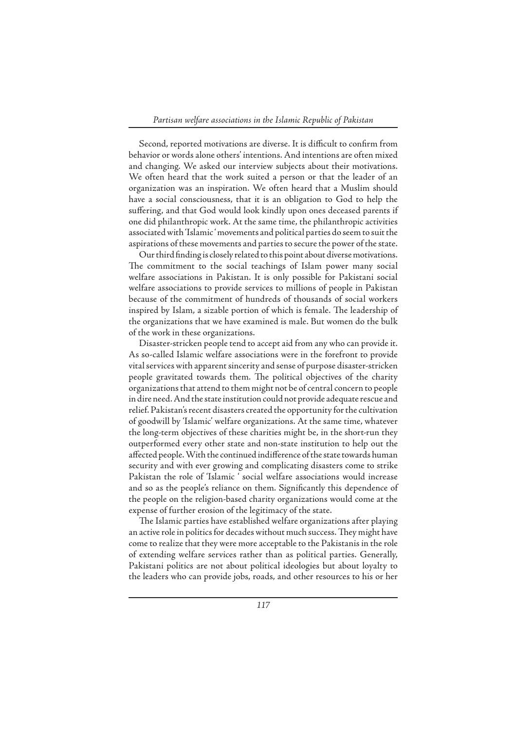Second, reported motivations are diverse. It is difficult to confirm from behavior or words alone others' intentions. And intentions are often mixed and changing. We asked our interview subjects about their motivations. We often heard that the work suited a person or that the leader of an organization was an inspiration. We often heard that a Muslim should have a social consciousness, that it is an obligation to God to help the suffering, and that God would look kindly upon ones deceased parents if one did philanthropic work. At the same time, the philanthropic activities associated with 'Islamic ' movements and political parties do seem to suit the aspirations of these movements and parties to secure the power of the state.

Our third finding is closely related to this point about diverse motivations. The commitment to the social teachings of Islam power many social welfare associations in Pakistan. It is only possible for Pakistani social welfare associations to provide services to millions of people in Pakistan because of the commitment of hundreds of thousands of social workers inspired by Islam, a sizable portion of which is female. The leadership of the organizations that we have examined is male. But women do the bulk of the work in these organizations.

Disaster-stricken people tend to accept aid from any who can provide it. As so-called Islamic welfare associations were in the forefront to provide vital services with apparent sincerity and sense of purpose disaster-stricken people gravitated towards them. The political objectives of the charity organizations that attend to them might not be of central concern to people in dire need. And the state institution could not provide adequate rescue and relief. Pakistan's recent disasters created the opportunity for the cultivation of goodwill by 'Islamic' welfare organizations. At the same time, whatever the long-term objectives of these charities might be, in the short-run they outperformed every other state and non-state institution to help out the affected people. With the continued indifference of the state towards human security and with ever growing and complicating disasters come to strike Pakistan the role of 'Islamic ' social welfare associations would increase and so as the people's reliance on them. Significantly this dependence of the people on the religion-based charity organizations would come at the expense of further erosion of the legitimacy of the state.

The Islamic parties have established welfare organizations after playing an active role in politics for decades without much success. They might have come to realize that they were more acceptable to the Pakistanis in the role of extending welfare services rather than as political parties. Generally, Pakistani politics are not about political ideologies but about loyalty to the leaders who can provide jobs, roads, and other resources to his or her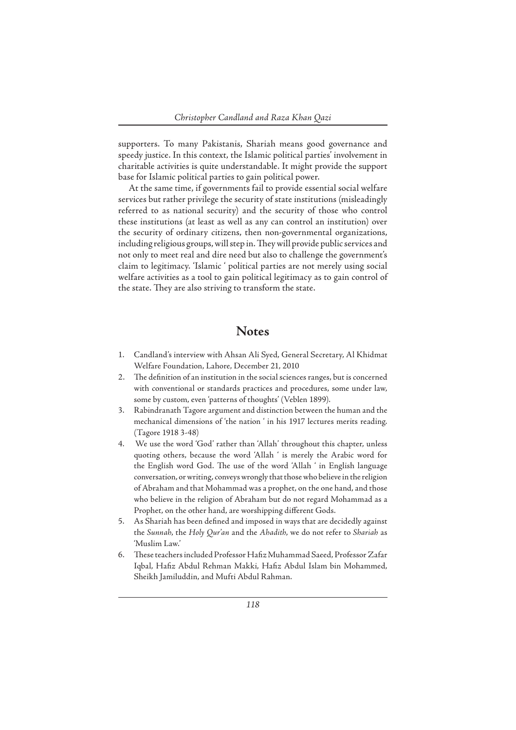supporters. To many Pakistanis, Shariah means good governance and speedy justice. In this context, the Islamic political parties' involvement in charitable activities is quite understandable. It might provide the support base for Islamic political parties to gain political power.

At the same time, if governments fail to provide essential social welfare services but rather privilege the security of state institutions (misleadingly referred to as national security) and the security of those who control these institutions (at least as well as any can control an institution) over the security of ordinary citizens, then non-governmental organizations, including religious groups, will step in. They will provide public services and not only to meet real and dire need but also to challenge the government's claim to legitimacy. 'Islamic ' political parties are not merely using social welfare activities as a tool to gain political legitimacy as to gain control of the state. They are also striving to transform the state.

#### **Notes**

- 1. Candland's interview with Ahsan Ali Syed, General Secretary, Al Khidmat Welfare Foundation, Lahore, December 21, 2010
- 2. The definition of an institution in the social sciences ranges, but is concerned with conventional or standards practices and procedures, some under law, some by custom, even 'patterns of thoughts' (Veblen 1899).
- 3. Rabindranath Tagore argument and distinction between the human and the mechanical dimensions of 'the nation ' in his 1917 lectures merits reading. (Tagore 1918 3-48)
- 4. We use the word 'God' rather than 'Allah' throughout this chapter, unless quoting others, because the word 'Allah ' is merely the Arabic word for the English word God. The use of the word 'Allah ' in English language conversation, or writing, conveys wrongly that those who believe in the religion of Abraham and that Mohammad was a prophet, on the one hand, and those who believe in the religion of Abraham but do not regard Mohammad as a Prophet, on the other hand, are worshipping different Gods.
- 5. As Shariah has been defined and imposed in ways that are decidedly against the *Sunnah*, the *Holy Qur'an* and the *Ahadith*, we do not refer to *Shariah* as 'Muslim Law.'
- 6. These teachers included Professor Hafiz Muhammad Saeed, Professor Zafar Iqbal, Hafiz Abdul Rehman Makki, Hafiz Abdul Islam bin Mohammed, Sheikh Jamiluddin, and Mufti Abdul Rahman.